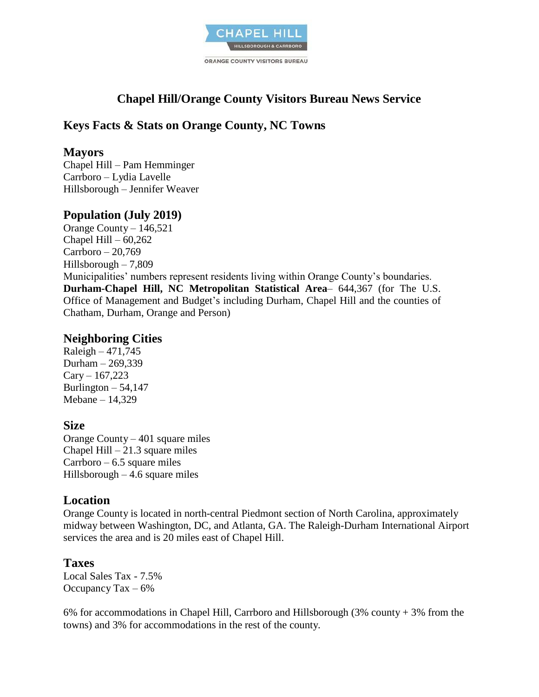

# **Chapel Hill/Orange County Visitors Bureau News Service**

# **Keys Facts & Stats on Orange County, NC Towns**

#### **Mayors**

Chapel Hill – Pam Hemminger Carrboro – Lydia Lavelle Hillsborough – Jennifer Weaver

## **Population (July 2019)**

Orange County – 146,521 Chapel Hill  $-60,262$ Carrboro – 20,769 Hillsborough – 7,809 Municipalities' numbers represent residents living within Orange County's boundaries. **Durham-Chapel Hill, NC Metropolitan Statistical Area**– 644,367 (for The U.S. Office of Management and Budget's including Durham, Chapel Hill and the counties of Chatham, Durham, Orange and Person)

### **Neighboring Cities**

Raleigh – 471,745 Durham – 269,339  $Cary - 167,223$ Burlington  $-54,147$ Mebane – 14,329

## **Size**

Orange County – 401 square miles Chapel Hill  $-21.3$  square miles Carrboro – 6.5 square miles Hillsborough  $-4.6$  square miles

## **Location**

Orange County is located in north-central Piedmont section of North Carolina, approximately midway between Washington, DC, and Atlanta, GA. The Raleigh-Durham International Airport services the area and is 20 miles east of Chapel Hill.

## **Taxes**

Local Sales Tax - 7.5% Occupancy Tax  $-6\%$ 

6% for accommodations in Chapel Hill, Carrboro and Hillsborough (3% county + 3% from the towns) and 3% for accommodations in the rest of the county.